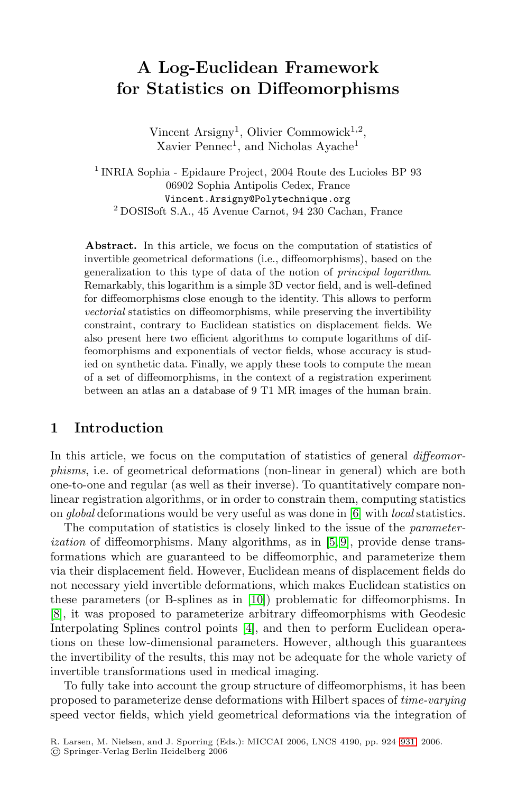# **A Log-Euclidean Framework for Statistics on Diffeomorphisms**

Vincent Arsigny<sup>1</sup>, Olivier Commowick<sup>1,2</sup>,  $\rm Xavier$   $\rm Pennec^1,$  and  $\rm Nicholas$   $\rm Ayache^1$ 

<sup>1</sup> INRIA Sophia - Epidaure Project, 2004 Route des Lucioles BP 93 06902 Sophia Antipolis Cedex, France Vincent.Arsigny@Polytechnique.org <sup>2</sup> DOSISoft S.A., 45 Avenue Carnot, 94 230 Cachan, France

**Abstract.** In this article, we focus on the computation of statistics of invertible geometrical deformations (i.e., diffeomorphisms), based on the generalization to this type of data of the notion of principal logarithm. Remarkably, this logarithm is a simple 3D vector field, and is well-defined for diffeomorphisms close enough to the identity. This allows to perform vectorial statistics on diffeomorphisms, while preserving the invertibility constraint, contrary to Euclidean statistics on displacement fields. We also present here two efficient algorithms to compute logarithms of diffeomorphisms and exponentials of vector fields, whose accuracy is studied on synthetic data. Finally, we apply these tools to compute the mean of a set of diffeomorphisms, in the context of a registration experiment between an atlas an a database of 9 T1 MR images of the human brain.

### **1 Introduction**

In this article, we focus on the computation of statistics of general *diffeomor*phisms, i.e. of geometrical deformations (non-linear in general) which are both one-to-one and regular (as well as their inverse). To quantitatively compare nonlinear registration algorithms, or in order to constrain them, computing statistics on global deformations would be very useful as was done in [6] with local statistics.

The computation of statistics is closely linked to the issue of the parameterization of diffeomorphisms. Many algorithms, as in [5, 9], provide dense transformations which are guaranteed to be diffeomorphic, and parameterize them via their displacement field. However, Euclidean means of displacement fields do not necessary yield invertible deformations, which makes Euclidean statistics on these parameters (or B-splines as in [10]) problematic for diffeomorphisms. In [8], it was proposed to parameterize arbitrary diffeomorphisms with Geodesic Interpolating Splines control points [4], and then to perform Euclidean operations on these low-dimensional parameters. However, although this guarantees the invertibility of the results, this may not be adequate for the whole variety of invertible transformations used in medical imaging.

To fully take into account the group structure of diffeomorphisms, it has been proposed to parameterize dense deformations with Hilbert spaces of time-varying speed vector fields, which yield geometrical deformations via the integration of

R. Larsen, M. Nielsen, and J. Sporring (Eds.): MICCAI 2006, LNCS 4190, pp. 924–931, 2006.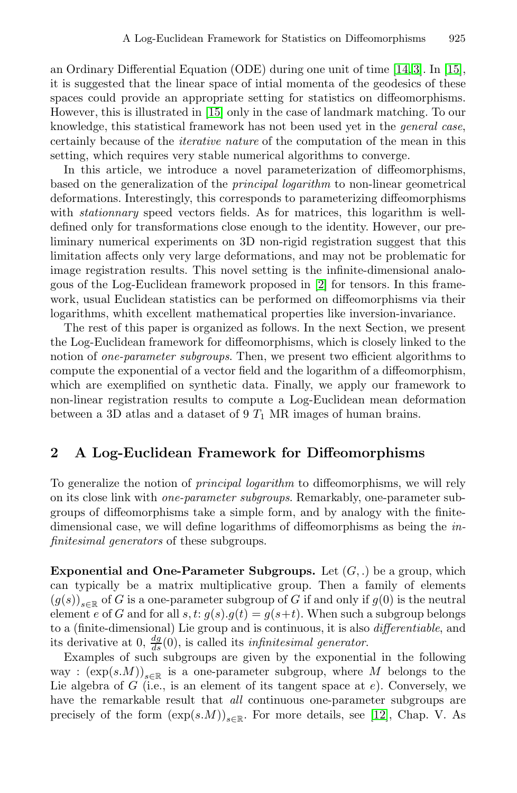an Ordinary Differential Equation (ODE) during one unit of time [14,3]. In [15], it is suggested that the linear space of intial momenta of the geodesics of these spaces could provide an appropriate setting for statistics on diffeomorphisms. However, this is illustrated in [15] only in the case of landmark matching. To our knowledge, this statistical framework has not been used yet in the general case, certainly because of the iterative nature of the computation of the mean in this setting, which requires very stable numerical algorithms to converge.

In this article, we introduce a novel parameterization of diffeomorphisms, based on the generalization of the principal logarithm to non-linear geometrical deformations. Interestingly, this corresponds to parameterizing diffeomorphisms with *stationnary* speed vectors fields. As for matrices, this logarithm is welldefined only for transformations close enough to the identity. However, our preliminary numerical experiments on 3D non-rigid registration suggest that this limitation affects only very large deformations, and may not be problematic for image registration results. This novel setting is the infinite-dimensional analogous of the Log-Euclidean framework proposed in [2] for tensors. In this framework, usual Euclidean statistics can be performed on diffeomorphisms via their logarithms, whith excellent mathematical properties like inversion-invariance.

The rest of this paper is organized as follows. In the next Section, we present the Log-Euclidean framework for diffeomorphisms, which is closely linked to the notion of *one-parameter subgroups*. Then, we present two efficient algorithms to compute the exponential of a vector field and the logarithm of a diffeomorphism, which are exemplified on synthetic data. Finally, we apply our framework to non-linear registration results to compute a Log-Euclidean mean deformation between a 3D atlas and a dataset of 9  $T_1$  MR images of human brains.

#### **2 A Log-Euclidean Framework for Diffeomorphisms**

To generalize the notion of principal logarithm to diffeomorphisms, we will rely on its close link with one-parameter subgroups. Remarkably, one-parameter subgroups of diffeomorphisms take a simple form, and by analogy with the finitedimensional case, we will define logarithms of diffeomorphisms as being the infinitesimal generators of these subgroups.

**Exponential and One-Parameter Subgroups.** Let  $(G, .)$  be a group, which can typically be a matrix multiplicative group. Then a family of elements  $(g(s))_{s\in\mathbb{R}}$  of G is a one-parameter subgroup of G if and only if  $g(0)$  is the neutral element e of G and for all  $s, t: g(s) \cdot g(t) = g(s+t)$ . When such a subgroup belongs to a (finite-dimensional) Lie group and is continuous, it is also differentiable, and its derivative at 0,  $\frac{dg}{ds}(0)$ , is called its *infinitesimal generator*.

Examples of such subgroups are given by the exponential in the following way :  $(\exp(s.M))_{s\in\mathbb{R}}$  is a one-parameter subgroup, where M belongs to the Lie algebra of  $G$  (i.e., is an element of its tangent space at  $e$ ). Conversely, we have the remarkable result that *all* continuous one-parameter subgroups are precisely of the form  $(\exp(s.M))_{s\in\mathbb{R}}$ . For more details, see [12], Chap. V. As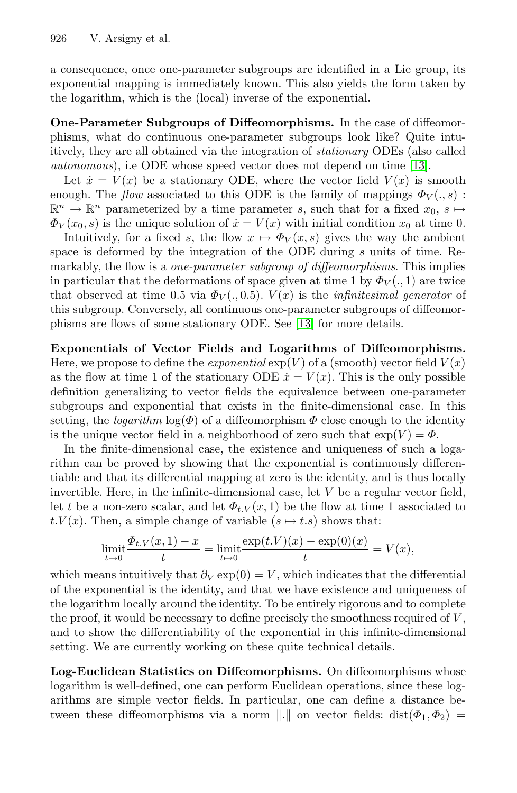a consequence, once one-parameter subgroups are identified in a Lie group, its exponential mapping is immediately known. This also yields the form taken by the logarithm, which is the (local) inverse of the exponential.

**One-Parameter Subgroups of Diffeomorphisms.** In the case of diffeomorphisms, what do continuous one-parameter subgroups look like? Quite intuitively, they are all obtained via the integration of stationary ODEs (also called autonomous), i.e ODE whose speed vector does not depend on time [13].

Let  $\dot{x} = V(x)$  be a stationary ODE, where the vector field  $V(x)$  is smooth enough. The *flow* associated to this ODE is the family of mappings  $\Phi_V(., s)$ :  $\mathbb{R}^n \to \mathbb{R}^n$  parameterized by a time parameter s, such that for a fixed  $x_0, s \mapsto$  $\Phi_V(x_0, s)$  is the unique solution of  $\dot{x} = V(x)$  with initial condition  $x_0$  at time 0.

Intuitively, for a fixed s, the flow  $x \mapsto \Phi_V(x, s)$  gives the way the ambient space is deformed by the integration of the ODE during s units of time. Remarkably, the flow is a *one-parameter subgroup of diffeomorphisms*. This implies in particular that the deformations of space given at time 1 by  $\Phi_V(.,1)$  are twice that observed at time 0.5 via  $\Phi_V(., 0.5)$ .  $V(x)$  is the *infinitesimal generator* of this subgroup. Conversely, all continuous one-parameter subgroups of diffeomorphisms are flows of some stationary ODE. See [13] for more details.

**Exponentials of Vector Fields and Logarithms of Diffeomorphisms.** Here, we propose to define the *exponential*  $exp(V)$  of a (smooth) vector field  $V(x)$ as the flow at time 1 of the stationary ODE  $\dot{x} = V(x)$ . This is the only possible definition generalizing to vector fields the equivalence between one-parameter subgroups and exponential that exists in the finite-dimensional case. In this setting, the *logarithm*  $\log(\Phi)$  of a diffeomorphism  $\Phi$  close enough to the identity is the unique vector field in a neighborhood of zero such that  $\exp(V) = \Phi$ .

In the finite-dimensional case, the existence and uniqueness of such a logarithm can be proved by showing that the exponential is continuously differentiable and that its differential mapping at zero is the identity, and is thus locally invertible. Here, in the infinite-dimensional case, let  $V$  be a regular vector field, let t be a non-zero scalar, and let  $\Phi_{t,V}(x,1)$  be the flow at time 1 associated to  $t.V(x)$ . Then, a simple change of variable  $(s \mapsto t.s)$  shows that:

$$
\lim_{t \to 0} \frac{\Phi_{t,V}(x,1) - x}{t} = \lim_{t \to 0} \frac{\exp(t.V)(x) - \exp(0)(x)}{t} = V(x),
$$

which means intuitively that  $\partial_V \exp(0) = V$ , which indicates that the differential of the exponential is the identity, and that we have existence and uniqueness of the logarithm locally around the identity. To be entirely rigorous and to complete the proof, it would be necessary to define precisely the smoothness required of  $V$ , and to show the differentiability of the exponential in this infinite-dimensional setting. We are currently working on these quite technical details.

**Log-Euclidean Statistics on Diffeomorphisms.** On diffeomorphisms whose logarithm is well-defined, one can perform Euclidean operations, since these logarithms are simple vector fields. In particular, one can define a distance between these diffeomorphisms via a norm  $\|.\|$  on vector fields: dist $(\Phi_1, \Phi_2)$  =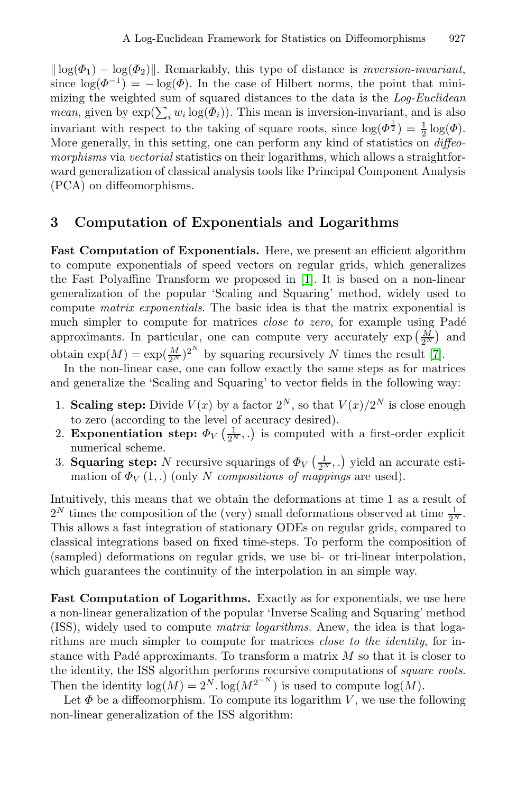$\|\log(\Phi_1) - \log(\Phi_2)\|$ . Remarkably, this type of distance is *inversion-invariant*, since  $\log(\Phi^{-1}) = -\log(\Phi)$ . In the case of Hilbert norms, the point that minimizing the weighted sum of squared distances to the data is the Log-Euclidean *mean*, given by  $\exp(\sum_i w_i \log(\Phi_i))$ . This mean is inversion-invariant, and is also invariant with respect to the taking of square roots, since  $\log(\Phi^{\frac{1}{2}}) = \frac{1}{2} \log(\Phi)$ . More generally, in this setting, one can perform any kind of statistics on *diffeo*morphisms via vectorial statistics on their logarithms, which allows a straightforward generalization of classical analysis tools like Principal Component Analysis (PCA) on diffeomorphisms.

#### **3 Computation of Exponentials and Logarithms**

**Fast Computation of Exponentials.** Here, we present an efficient algorithm to compute exponentials of speed vectors on regular grids, which generalizes the Fast Polyaffine Transform we proposed in [1]. It is based on a non-linear generalization of the popular 'Scaling and Squaring' method, widely used to compute matrix exponentials. The basic idea is that the matrix exponential is much simpler to compute for matrices *close to zero*, for example using Padé approximants. In particular, one can compute very accurately  $\exp\left(\frac{M}{2^N}\right)$  and obtain  $\exp(M) = \exp(\frac{M}{2^N})^{2^N}$  by squaring recursively N times the result [7].

In the non-linear case, one can follow exactly the same steps as for matrices and generalize the 'Scaling and Squaring' to vector fields in the following way:

- 1. **Scaling step:** Divide  $V(x)$  by a factor  $2^N$ , so that  $V(x)/2^N$  is close enough to zero (according to the level of accuracy desired).
- 2. **Exponentiation step:**  $\Phi_V\left(\frac{1}{2^N},\cdot\right)$  is computed with a first-order explicit numerical scheme.
- 3. **Squaring step:** N recursive squarings of  $\Phi_V\left(\frac{1}{2^N}, .\right)$  yield an accurate estimation of  $\Phi_V(1,.)$  (only N compositions of mappings are used).

Intuitively, this means that we obtain the deformations at time 1 as a result of  $2^N$  times the composition of the (very) small deformations observed at time  $\frac{1}{2^N}$ . This allows a fast integration of stationary ODEs on regular grids, compared to classical integrations based on fixed time-steps. To perform the composition of (sampled) deformations on regular grids, we use bi- or tri-linear interpolation, which guarantees the continuity of the interpolation in an simple way.

Fast Computation of Logarithms. Exactly as for exponentials, we use here a non-linear generalization of the popular 'Inverse Scaling and Squaring' method (ISS), widely used to compute matrix logarithms. Anew, the idea is that logarithms are much simpler to compute for matrices close to the identity, for instance with Padé approximants. To transform a matrix  $M$  so that it is closer to the identity, the ISS algorithm performs recursive computations of square roots. Then the identity  $\log(M) = 2^N \cdot \log(M^{2^{-N}})$  is used to compute  $\log(M)$ .

Let  $\Phi$  be a diffeomorphism. To compute its logarithm V, we use the following non-linear generalization of the ISS algorithm: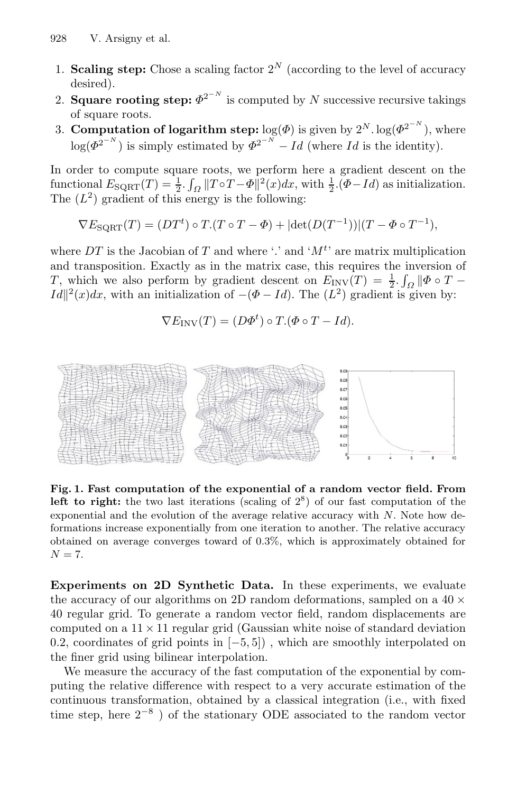- 1. **Scaling step:** Chose a scaling factor  $2^N$  (according to the level of accuracy desired).
- 2. **Square rooting step:**  $\Phi^{2^{-N}}$  is computed by N successive recursive takings of square roots.
- 3. **Computation of logarithm step:**  $log(\Phi)$  is given by  $2^N$ .  $log(\Phi^{2^{-N}})$ , where  $\log(\Phi^{2^{-N}})$  is simply estimated by  $\Phi^{2^{-N}} - Id$  (where Id is the identity).

In order to compute square roots, we perform here a gradient descent on the functional  $E_{\text{SQRT}}(T) = \frac{1}{2} \int_{\Omega} ||T \circ T - \Phi||^2(x) dx$ , with  $\frac{1}{2} \left( \Phi - Id \right)$  as initialization. The  $(L^2)$  gradient of this energy is the following:

$$
\nabla E_{\text{SQRT}}(T) = (DT^t) \circ T \cdot (T \circ T - \Phi) + |\det(D(T^{-1}))| (T - \Phi \circ T^{-1}),
$$

where DT is the Jacobian of T and where '.' and ' $M<sup>t</sup>$ ' are matrix multiplication and transposition. Exactly as in the matrix case, this requires the inversion of T, which we also perform by gradient descent on  $E_{\text{INV}}(T) = \frac{1}{2} \int_{\Omega} ||\Phi \circ T Id\Vert^{2}(x)dx$ , with an initialization of  $-(\Phi - Id)$ . The  $(L^{2})$  gradient is given by:

$$
\nabla E_{\text{INV}}(T) = (D\Phi^t) \circ T.(\Phi \circ T - Id).
$$



**Fig. 1. Fast computation of the exponential of a random vector field. From left to right:** the two last iterations (scaling of  $2^8$ ) of our fast computation of the exponential and the evolution of the average relative accuracy with N. Note how deformations increase exponentially from one iteration to another. The relative accuracy obtained on average converges toward of 0.3%, which is approximately obtained for  $N = 7$ .

**Experiments on 2D Synthetic Data.** In these experiments, we evaluate the accuracy of our algorithms on 2D random deformations, sampled on a  $40 \times$ 40 regular grid. To generate a random vector field, random displacements are computed on a  $11 \times 11$  regular grid (Gaussian white noise of standard deviation 0.2, coordinates of grid points in [−5, 5]) , which are smoothly interpolated on the finer grid using bilinear interpolation.

We measure the accuracy of the fast computation of the exponential by computing the relative difference with respect to a very accurate estimation of the continuous transformation, obtained by a classical integration (i.e., with fixed time step, here  $2^{-8}$ ) of the stationary ODE associated to the random vector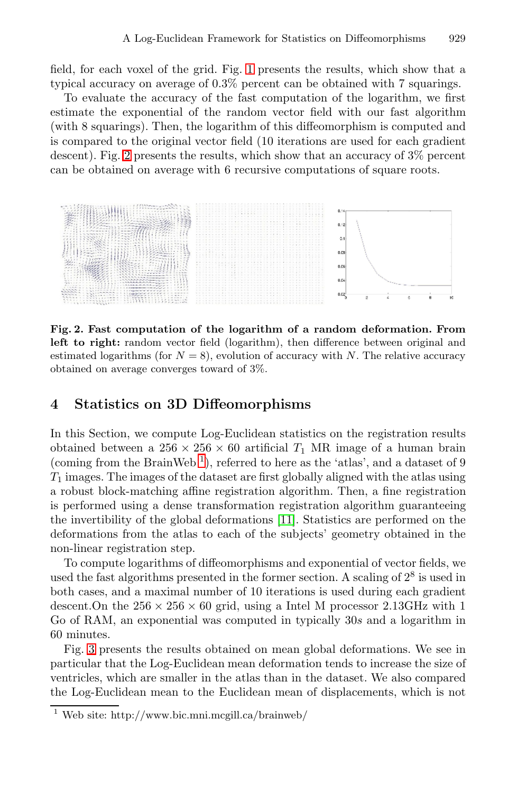field, for each voxel of the grid. Fig. 1 presents the results, which show that a typical accuracy on average of 0.3% percent can be obtained with 7 squarings.

To evaluate the accuracy of the fast computation of the logarithm, we first estimate the exponential of the random vector field with our fast algorithm (with 8 squarings). Then, the logarithm of this diffeomorphism is computed and is compared to the original vector field (10 iterations are used for each gradient descent). Fig. 2 presents the results, which show that an accuracy of 3% percent can be obtained on average with 6 recursive computations of square roots.



**Fig. 2. Fast computation of the logarithm of a random deformation. From** left to right: random vector field (logarithm), then difference between original and estimated logarithms (for  $N = 8$ ), evolution of accuracy with N. The relative accuracy obtained on average converges toward of 3%.

#### **4 Statistics on 3D Diffeomorphisms**

In this Section, we compute Log-Euclidean statistics on the registration results obtained between a  $256 \times 256 \times 60$  artificial  $T_1$  MR image of a human brain (coming from the BrainWeb<sup>1</sup>), referred to here as the 'atlas', and a dataset of 9  $T_1$  images. The images of the dataset are first globally aligned with the atlas using a robust block-matching affine registration algorithm. Then, a fine registration is performed using a dense transformation registration algorithm guaranteeing the invertibility of the global deformations [11]. Statistics are performed on the deformations from the atlas to each of the subjects' geometry obtained in the non-linear registration step.

To compute logarithms of diffeomorphisms and exponential of vector fields, we used the fast algorithms presented in the former section. A scaling of  $2^8$  is used in both cases, and a maximal number of 10 iterations is used during each gradient descent. On the  $256 \times 256 \times 60$  grid, using a Intel M processor 2.13GHz with 1 Go of RAM, an exponential was computed in typically 30s and a logarithm in 60 minutes.

Fig. 3 presents the results obtained on mean global deformations. We see in particular that the Log-Euclidean mean deformation tends to increase the size of ventricles, which are smaller in the atlas than in the dataset. We also compared the Log-Euclidean mean to the Euclidean mean of displacements, which is not

<sup>1</sup> Web site: http://www.bic.mni.mcgill.ca/brainweb/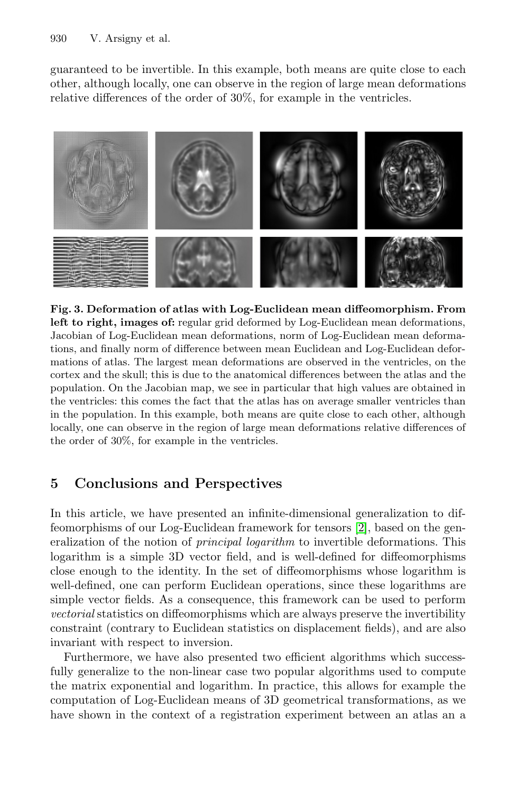guaranteed to be invertible. In this example, both means are quite close to each other, although locally, one can observe in the region of large mean deformations relative differences of the order of 30%, for example in the ventricles.



**Fig. 3. Deformation of atlas with Log-Euclidean mean diffeomorphism. From** left to right, images of: regular grid deformed by Log-Euclidean mean deformations, Jacobian of Log-Euclidean mean deformations, norm of Log-Euclidean mean deformations, and finally norm of difference between mean Euclidean and Log-Euclidean deformations of atlas. The largest mean deformations are observed in the ventricles, on the cortex and the skull; this is due to the anatomical differences between the atlas and the population. On the Jacobian map, we see in particular that high values are obtained in the ventricles: this comes the fact that the atlas has on average smaller ventricles than in the population. In this example, both means are quite close to each other, although locally, one can observe in the region of large mean deformations relative differences of the order of 30%, for example in the ventricles.

# **5 Conclusions and Perspectives**

In this article, we have presented an infinite-dimensional generalization to diffeomorphisms of our Log-Euclidean framework for tensors [2], based on the generalization of the notion of *principal logarithm* to invertible deformations. This logarithm is a simple 3D vector field, and is well-defined for diffeomorphisms close enough to the identity. In the set of diffeomorphisms whose logarithm is well-defined, one can perform Euclidean operations, since these logarithms are simple vector fields. As a consequence, this framework can be used to perform vectorial statistics on diffeomorphisms which are always preserve the invertibility constraint (contrary to Euclidean statistics on displacement fields), and are also invariant with respect to inversion.

Furthermore, we have also presented two efficient algorithms which successfully generalize to the non-linear case two popular algorithms used to compute the matrix exponential and logarithm. In practice, this allows for example the computation of Log-Euclidean means of 3D geometrical transformations, as we have shown in the context of a registration experiment between an atlas an a